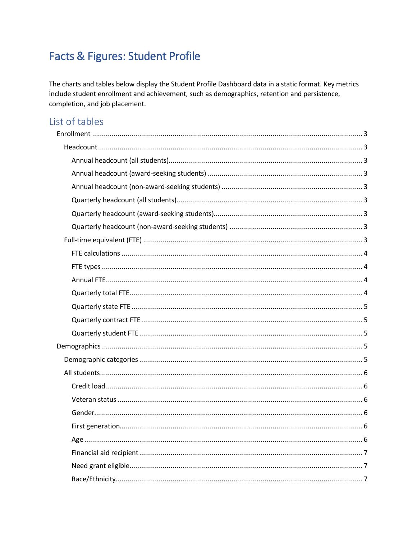# Facts & Figures: Student Profile

The charts and tables below display the Student Profile Dashboard data in a static format. Key metrics include student enrollment and achievement, such as demographics, retention and persistence, completion, and job placement.

## List of tables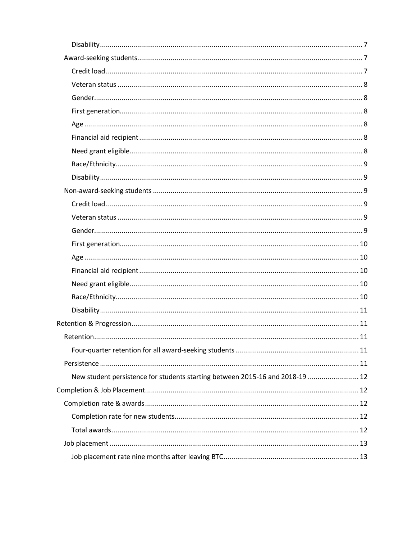| New student persistence for students starting between 2015-16 and 2018-19  12 |  |
|-------------------------------------------------------------------------------|--|
|                                                                               |  |
|                                                                               |  |
|                                                                               |  |
|                                                                               |  |
|                                                                               |  |
|                                                                               |  |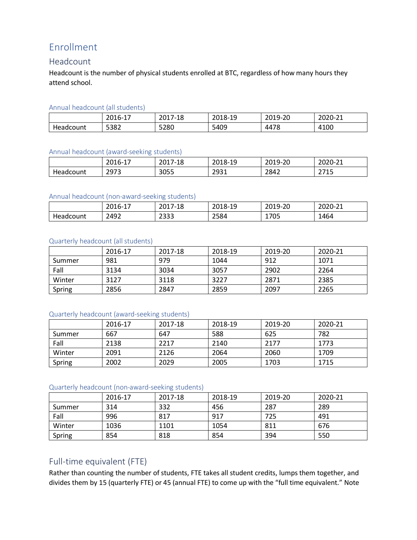## <span id="page-2-0"></span>Enrollment

### <span id="page-2-1"></span>Headcount

Headcount is the number of physical students enrolled at BTC, regardless of how many hours they attend school.

#### <span id="page-2-2"></span>Annual headcount (all students)

|                  | ำกา<br>$\overline{\phantom{a}}$<br>-0<br>∠∪⊥<br>- | 201<br>7-18 | ำกา<br>19٠<br>$\times$ –<br>2010 <sup>-</sup> | $\sim$<br>$\sim$ $\sim$ $\sim$<br>$\sqrt{2}$<br>ч-<br>ے۔<br>201J | $\mathbf{a} \mathbf{a} \mathbf{a} \mathbf{b}$<br>$\sim$<br>. $\frac{1}{2}$<br><u>_ _</u><br>∠∪∠∪ |
|------------------|---------------------------------------------------|-------------|-----------------------------------------------|------------------------------------------------------------------|--------------------------------------------------------------------------------------------------|
| <b>Headcount</b> | 5382                                              | 5280        | 5409                                          | 4478                                                             | 4100                                                                                             |

#### <span id="page-2-3"></span>Annual headcount (award-seeking students)

|           | $2016 - 2$<br>$\sim$<br>-- | 201<br>$.7 - 18$ | ากา ก<br>19٠<br>ZU10- | $\Omega$<br>$2019$ -<br>∼<br>201J | $\sim$<br>$\sim$<br>. $11 - 1$<br>ZUZU<br><u>_ _</u> |
|-----------|----------------------------|------------------|-----------------------|-----------------------------------|------------------------------------------------------|
| Headcount | 2973<br>ر رے               | 3055             | 2021<br>ᄼᇰᇰᆂ          | 2842                              | 274F<br>21 I.J                                       |

#### <span id="page-2-4"></span>Annual headcount (non-award-seeking students)

|           | 2016-2<br>$\sim$<br><b>+</b> | 201<br>-18<br>$\prime$ $-$ | 201<br>19٠<br>∠∪⊥ŏ- | $\sim$<br>∍ገበ1 Q <sub>−</sub> .<br>۰zu<br>201J | $\sim$<br>$\sim$<br>$711-$<br><u>_</u><br>∠∪∠∪ |
|-----------|------------------------------|----------------------------|---------------------|------------------------------------------------|------------------------------------------------|
| Headcount | 2492                         | 2333                       | 2584                | 705<br>17 U J                                  | 1464                                           |

#### <span id="page-2-5"></span>Quarterly headcount (all students)

|        | 2016-17 | 2017-18 | 2018-19 | 2019-20 | 2020-21 |
|--------|---------|---------|---------|---------|---------|
| Summer | 981     | 979     | 1044    | 912     | 1071    |
| Fall   | 3134    | 3034    | 3057    | 2902    | 2264    |
| Winter | 3127    | 3118    | 3227    | 2871    | 2385    |
| Spring | 2856    | 2847    | 2859    | 2097    | 2265    |

### <span id="page-2-6"></span>Quarterly headcount (award-seeking students)

|        | 2016-17 | 2017-18 | 2018-19 | 2019-20 | 2020-21 |
|--------|---------|---------|---------|---------|---------|
| Summer | 667     | 647     | 588     | 625     | 782     |
| Fall   | 2138    | 2217    | 2140    | 2177    | 1773    |
| Winter | 2091    | 2126    | 2064    | 2060    | 1709    |
| Spring | 2002    | 2029    | 2005    | 1703    | 1715    |

#### <span id="page-2-7"></span>Quarterly headcount (non-award-seeking students)

|        | 2016-17 | 2017-18 | 2018-19 | 2019-20 | 2020-21 |
|--------|---------|---------|---------|---------|---------|
| Summer | 314     | 332     | 456     | 287     | 289     |
| Fall   | 996     | 817     | 917     | 725     | 491     |
| Winter | 1036    | 1101    | 1054    | 811     | 676     |
| Spring | 854     | 818     | 854     | 394     | 550     |

### <span id="page-2-8"></span>Full-time equivalent (FTE)

Rather than counting the number of students, FTE takes all student credits, lumps them together, and divides them by 15 (quarterly FTE) or 45 (annual FTE) to come up with the "full time equivalent." Note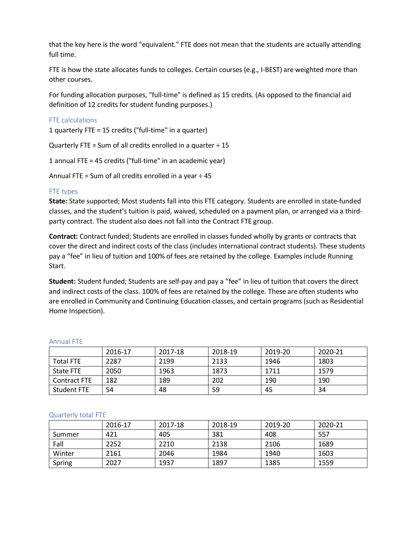that the key here is the word "equivalent." FTE does not mean that the students are actually attending full time.

FTE is how the state allocates funds to colleges. Certain courses (e.g., I-BEST) are weighted more than other courses.

For funding allocation purposes, "full-time" is defined as 15 credits. (As opposed to the financial aid definition of 12 credits for student funding purposes.)

#### <span id="page-3-0"></span>FTE calculations

1 quarterly FTE = 15 credits ("full-time" in a quarter)

Quarterly FTE = Sum of all credits enrolled in a quarter  $\div$  15

1 annual FTE = 45 credits ("full-time" in an academic year)

Annual FTE = Sum of all credits enrolled in a year  $\div$  45

#### <span id="page-3-1"></span>FTE types

**State:** State supported; Most students fall into this FTE category. Students are enrolled in state-funded classes, and the student's tuition is paid, waived, scheduled on a payment plan, or arranged via a thirdparty contract. The student also does not fall into the Contract FTE group.

**Contract:** Contract funded; Students are enrolled in classes funded wholly by grants or contracts that cover the direct and indirect costs of the class (includes international contract students). These students pay a "fee" in lieu of tuition and 100% of fees are retained by the college. Examples include Running Start.

**Student:** Student funded; Students are self-pay and pay a "fee" in lieu of tuition that covers the direct and indirect costs of the class. 100% of fees are retained by the college. These are often students who are enrolled in Community and Continuing Education classes, and certain programs (such as Residential Home Inspection).

|                  | 2016-17 | 2017-18 | 2018-19 | 2019-20 | 2020-21 |
|------------------|---------|---------|---------|---------|---------|
| <b>Total FTE</b> | 2287    | 2199    | 2133    | 1946    | 1803    |
| State FTE        | 2050    | 1963    | 1873    | 1711    | 1579    |
| Contract FTE     | 182     | 189     | 202     | 190     | 190     |
| Student FTE      | 54      | 48      | 59      | 45      | 34      |

#### <span id="page-3-2"></span>Annual FTE

#### <span id="page-3-3"></span>Quarterly total FTE

|        | 2016-17 | 2017-18 | 2018-19 | 2019-20 | 2020-21 |
|--------|---------|---------|---------|---------|---------|
| Summer | 421     | 405     | 381     | 408     | 557     |
| Fall   | 2252    | 2210    | 2138    | 2106    | 1689    |
| Winter | 2161    | 2046    | 1984    | 1940    | 1603    |
| Spring | 2027    | 1937    | 1897    | 1385    | 1559    |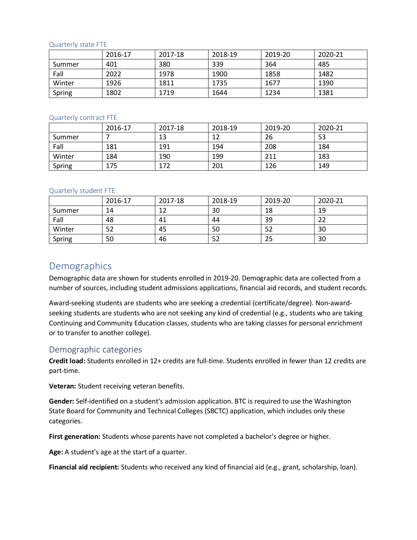#### <span id="page-4-0"></span>Quarterly state FTE

|        | 2016-17 | 2017-18 | 2018-19 | 2019-20 | 2020-21 |
|--------|---------|---------|---------|---------|---------|
| Summer | 401     | 380     | 339     | 364     | 485     |
| Fall   | 2022    | 1978    | 1900    | 1858    | 1482    |
| Winter | 1926    | 1811    | 1735    | 1677    | 1390    |
| Spring | 1802    | 1719    | 1644    | 1234    | 1381    |

#### <span id="page-4-1"></span>Quarterly contract FTE

|        | 2016-17 | 2017-18 | 2018-19 | 2019-20 | 2020-21 |
|--------|---------|---------|---------|---------|---------|
| Summer |         | 13      | 12      | 26      | 53      |
| Fall   | 181     | 191     | 194     | 208     | 184     |
| Winter | 184     | 190     | 199     | 211     | 183     |
| Spring | 175     | 172     | 201     | 126     | 149     |

#### <span id="page-4-2"></span>Quarterly student FTE

|        | 2016-17 | 2017-18 | 2018-19 | 2019-20 | 2020-21 |
|--------|---------|---------|---------|---------|---------|
| Summer | 14      | 1.3     | 30      | 18      | 19      |
| Fall   | 48      | 41      | 44      | 39      | 22      |
| Winter | 52      | 45      | 50      | 52      | 30      |
| Spring | 50      | 46      | 52      | 25      | 30      |

### <span id="page-4-3"></span>Demographics

Demographic data are shown for students enrolled in 2019-20. Demographic data are collected from a number of sources, including student admissions applications, financial aid records, and student records.

Award-seeking students are students who are seeking a credential (certificate/degree). Non-awardseeking students are students who are not seeking any kind of credential (e.g., students who are taking Continuing and Community Education classes, students who are taking classes for personal enrichment or to transfer to another college).

### <span id="page-4-4"></span>Demographic categories

**Credit load:** Students enrolled in 12+ credits are full-time. Students enrolled in fewer than 12 credits are part-time.

**Veteran:** Student receiving veteran benefits.

**Gender:** Self-identified on a student's admission application. BTC is required to use the Washington State Board for Community and Technical Colleges (SBCTC) application, which includes only these categories.

**First generation:** Students whose parents have not completed a bachelor's degree or higher.

**Age:** A student's age at the start of a quarter.

**Financial aid recipient:** Students who received any kind of financial aid (e.g., grant, scholarship, loan).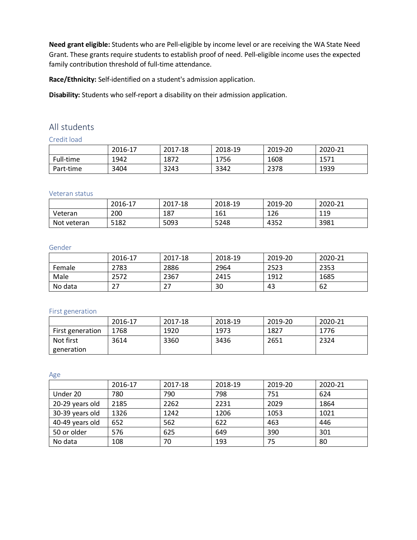**Need grant eligible:** Students who are Pell-eligible by income level or are receiving the WA State Need Grant. These grants require students to establish proof of need. Pell-eligible income uses the expected family contribution threshold of full-time attendance.

**Race/Ethnicity:** Self-identified on a student's admission application.

**Disability:** Students who self-report a disability on their admission application.

### <span id="page-5-0"></span>All students

<span id="page-5-1"></span>Credit load

|           | 2016-17 | 2017-18 | 2018-19 | 2019-20 | 2020-21 |
|-----------|---------|---------|---------|---------|---------|
| Full-time | 1942    | 1872    | 1756    | 1608    | 1571    |
| Part-time | 3404    | 3243    | 3342    | 2378    | 1939    |

#### <span id="page-5-2"></span>Veteran status

|             | 2016-17 | 2017-18 | 2018-19 | 2019-20 | 2020-21 |
|-------------|---------|---------|---------|---------|---------|
| Veteran     | 200     | 187     | 161     | 126     | 119     |
| Not veteran | 5182    | 5093    | 5248    | 4352    | 3981    |

#### <span id="page-5-3"></span>Gender

|         | 2016-17 | 2017-18 | 2018-19 | 2019-20 | 2020-21 |
|---------|---------|---------|---------|---------|---------|
| Female  | 2783    | 2886    | 2964    | 2523    | 2353    |
| Male    | 2572    | 2367    | 2415    | 1912    | 1685    |
| No data |         |         | 30      | 43      | 62      |

#### <span id="page-5-4"></span>First generation

|                  | 2016-17 | 2017-18 | 2018-19 | 2019-20 | 2020-21 |
|------------------|---------|---------|---------|---------|---------|
| First generation | 1768    | 1920    | 1973    | 1827    | 1776    |
| Not first        | 3614    | 3360    | 3436    | 2651    | 2324    |
| generation       |         |         |         |         |         |

<span id="page-5-5"></span>Age

|                 | 2016-17 | 2017-18 | 2018-19 | 2019-20 | 2020-21 |
|-----------------|---------|---------|---------|---------|---------|
| Under 20        | 780     | 790     | 798     | 751     | 624     |
| 20-29 years old | 2185    | 2262    | 2231    | 2029    | 1864    |
| 30-39 years old | 1326    | 1242    | 1206    | 1053    | 1021    |
| 40-49 years old | 652     | 562     | 622     | 463     | 446     |
| 50 or older     | 576     | 625     | 649     | 390     | 301     |
| No data         | 108     | 70      | 193     | 75      | 80      |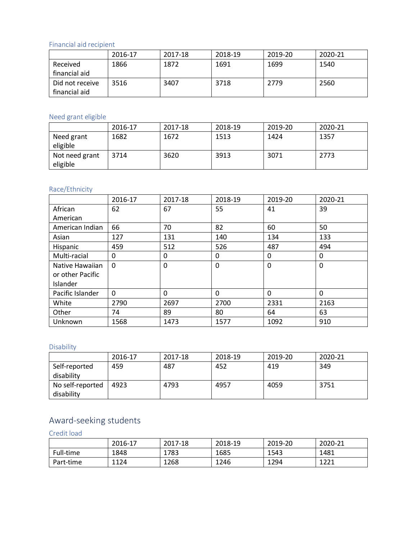### <span id="page-6-0"></span>Financial aid recipient

|                 | 2016-17 | 2017-18 | 2018-19 | 2019-20 | 2020-21 |
|-----------------|---------|---------|---------|---------|---------|
| Received        | 1866    | 1872    | 1691    | 1699    | 1540    |
| financial aid   |         |         |         |         |         |
| Did not receive | 3516    | 3407    | 3718    | 2779    | 2560    |
| financial aid   |         |         |         |         |         |

### <span id="page-6-1"></span>Need grant eligible

|                            | 2016-17 | 2017-18 | 2018-19 | 2019-20 | 2020-21 |
|----------------------------|---------|---------|---------|---------|---------|
| Need grant<br>eligible     | 1682    | 1672    | 1513    | 1424    | 1357    |
| Not need grant<br>eligible | 3714    | 3620    | 3913    | 3071    | 2773    |

### <span id="page-6-2"></span>Race/Ethnicity

|                  | 2016-17 | 2017-18 | 2018-19  | 2019-20 | 2020-21      |
|------------------|---------|---------|----------|---------|--------------|
| African          | 62      | 67      | 55       | 41      | 39           |
| American         |         |         |          |         |              |
| American Indian  | 66      | 70      | 82       | 60      | 50           |
| Asian            | 127     | 131     | 140      | 134     | 133          |
| Hispanic         | 459     | 512     | 526      | 487     | 494          |
| Multi-racial     | 0       | 0       | 0        | 0       | $\Omega$     |
| Native Hawaiian  | 0       | 0       | $\Omega$ | 0       | $\mathbf{0}$ |
| or other Pacific |         |         |          |         |              |
| Islander         |         |         |          |         |              |
| Pacific Islander | 0       | 0       | 0        | 0       | $\Omega$     |
| White            | 2790    | 2697    | 2700     | 2331    | 2163         |
| Other            | 74      | 89      | 80       | 64      | 63           |
| Unknown          | 1568    | 1473    | 1577     | 1092    | 910          |

### <span id="page-6-3"></span>Disability

|                                | 2016-17 | 2017-18 | 2018-19 | 2019-20 | 2020-21 |
|--------------------------------|---------|---------|---------|---------|---------|
| Self-reported<br>disability    | 459     | 487     | 452     | 419     | 349     |
| No self-reported<br>disability | 4923    | 4793    | 4957    | 4059    | 3751    |

## <span id="page-6-4"></span>Award-seeking students

<span id="page-6-5"></span>Credit load

|           | 2016-17 | 2017-18 | 2018-19 | 2019-20 | 2020-21 |
|-----------|---------|---------|---------|---------|---------|
| Full-time | 1848    | 1783    | 1685    | 1543    | 1481    |
| Part-time | 1124    | 1268    | 1246    | 1294    | 1221    |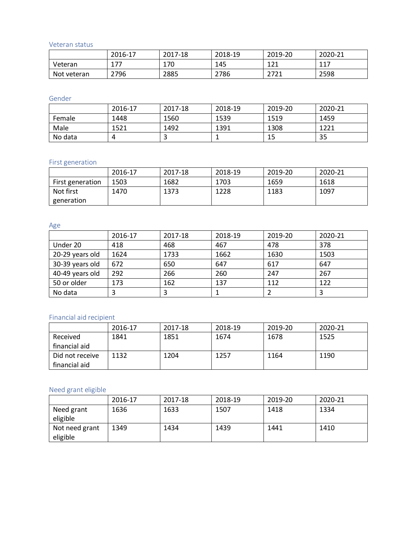<span id="page-7-0"></span>Veteran status

|             | 2016-17 | 2017-18 | 2018-19 | 2019-20      | 2020-21 |
|-------------|---------|---------|---------|--------------|---------|
| Veteran     | 177     | 170     | 145     | 1 7 1<br>ᆂᄼᅩ | 117     |
| Not veteran | 2796    | 2885    | 2786    | 1771<br>4141 | 2598    |

<span id="page-7-1"></span>Gender

|         | 2016-17 | 2017-18 | 2018-19 | 2019-20 | 2020-21 |
|---------|---------|---------|---------|---------|---------|
| Female  | 1448    | 1560    | 1539    | 1519    | 1459    |
| Male    | 1521    | 1492    | 1391    | 1308    | 1221    |
| No data |         |         |         | 15      | 35      |

### <span id="page-7-2"></span>First generation

|                  | 2016-17 | 2017-18 | 2018-19 | 2019-20 | 2020-21 |
|------------------|---------|---------|---------|---------|---------|
| First generation | 1503    | 1682    | 1703    | 1659    | 1618    |
| Not first        | 1470    | 1373    | 1228    | 1183    | 1097    |
| generation       |         |         |         |         |         |

#### <span id="page-7-3"></span>Age

|                 | 2016-17 | 2017-18 | 2018-19 | 2019-20 | 2020-21 |
|-----------------|---------|---------|---------|---------|---------|
| Under 20        | 418     | 468     | 467     | 478     | 378     |
| 20-29 years old | 1624    | 1733    | 1662    | 1630    | 1503    |
| 30-39 years old | 672     | 650     | 647     | 617     | 647     |
| 40-49 years old | 292     | 266     | 260     | 247     | 267     |
| 50 or older     | 173     | 162     | 137     | 112     | 122     |
| No data         |         |         |         |         |         |

### <span id="page-7-4"></span>Financial aid recipient

|                 | 2016-17 | 2017-18 | 2018-19 | 2019-20 | 2020-21 |
|-----------------|---------|---------|---------|---------|---------|
| Received        | 1841    | 1851    | 1674    | 1678    | 1525    |
| financial aid   |         |         |         |         |         |
| Did not receive | 1132    | 1204    | 1257    | 1164    | 1190    |
| financial aid   |         |         |         |         |         |

### <span id="page-7-5"></span>Need grant eligible

<span id="page-7-6"></span>

|                            | 2016-17 | 2017-18 | 2018-19 | 2019-20 | 2020-21 |
|----------------------------|---------|---------|---------|---------|---------|
| Need grant<br>eligible     | 1636    | 1633    | 1507    | 1418    | 1334    |
| Not need grant<br>eligible | 1349    | 1434    | 1439    | 1441    | 1410    |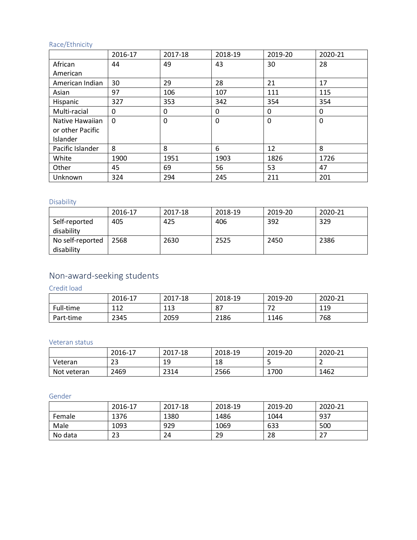### Race/Ethnicity

|                                     | 2016-17  | 2017-18 | 2018-19 | 2019-20  | 2020-21     |
|-------------------------------------|----------|---------|---------|----------|-------------|
| African                             | 44       | 49      | 43      | 30       | 28          |
| American                            |          |         |         |          |             |
| American Indian                     | 30       | 29      | 28      | 21       | 17          |
| Asian                               | 97       | 106     | 107     | 111      | 115         |
| Hispanic                            | 327      | 353     | 342     | 354      | 354         |
| Multi-racial                        | 0        | 0       | 0       | 0        | 0           |
| Native Hawaiian<br>or other Pacific | $\Omega$ | 0       | 0       | $\Omega$ | $\mathbf 0$ |
| Islander                            |          |         |         |          |             |
| Pacific Islander                    | 8        | 8       | 6       | 12       | 8           |
| White                               | 1900     | 1951    | 1903    | 1826     | 1726        |
| Other                               | 45       | 69      | 56      | 53       | 47          |
| Unknown                             | 324      | 294     | 245     | 211      | 201         |

### <span id="page-8-0"></span>Disability

|                  | 2016-17 | 2017-18 | 2018-19 | 2019-20 | 2020-21 |
|------------------|---------|---------|---------|---------|---------|
| Self-reported    | 405     | 425     | 406     | 392     | 329     |
| disability       |         |         |         |         |         |
| No self-reported | 2568    | 2630    | 2525    | 2450    | 2386    |
| disability       |         |         |         |         |         |

## <span id="page-8-1"></span>Non-award-seeking students

<span id="page-8-2"></span>Credit load

|           | 2016-17    | 2017-18 | 2018-19 | 2019-20 | 2020-21 |
|-----------|------------|---------|---------|---------|---------|
| Full-time | 117<br>⊥⊥∠ | 113     | 87      | ∠       | 119     |
| Part-time | 2345       | 2059    | 2186    | 1146    | 768     |

### <span id="page-8-3"></span>Veteran status

|             | 2016-17  | 2017-18  | 2018-19 | 2019-20 | 2020-21 |
|-------------|----------|----------|---------|---------|---------|
| Veteran     | ີ<br>ں ے | 1 Q<br>ᅩ | 18      | ۔       |         |
| Not veteran | 2469     | 2314     | 2566    | 1700    | 1462    |

### <span id="page-8-4"></span>Gender

<span id="page-8-5"></span>

|         | 2016-17   | 2017-18 | 2018-19 | 2019-20 | 2020-21 |
|---------|-----------|---------|---------|---------|---------|
| Female  | 1376      | 1380    | 1486    | 1044    | 937     |
| Male    | 1093      | 929     | 1069    | 633     | 500     |
| No data | วว<br>ر ے | 24      | 29      | 28      | ר ר     |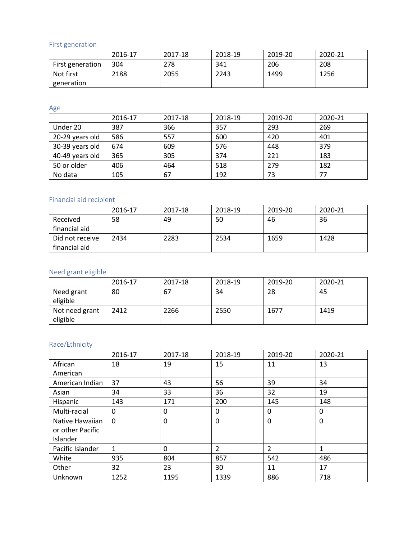First generation

|                  | 2016-17 | 2017-18 | 2018-19 | 2019-20 | 2020-21 |
|------------------|---------|---------|---------|---------|---------|
| First generation | 304     | 278     | 341     | 206     | 208     |
| Not first        | 2188    | 2055    | 2243    | 1499    | 1256    |
| generation       |         |         |         |         |         |

<span id="page-9-0"></span>Age

|                 | 2016-17 | 2017-18 | 2018-19 | 2019-20 | 2020-21 |
|-----------------|---------|---------|---------|---------|---------|
| Under 20        | 387     | 366     | 357     | 293     | 269     |
| 20-29 years old | 586     | 557     | 600     | 420     | 401     |
| 30-39 years old | 674     | 609     | 576     | 448     | 379     |
| 40-49 years old | 365     | 305     | 374     | 221     | 183     |
| 50 or older     | 406     | 464     | 518     | 279     | 182     |
| No data         | 105     | 67      | 192     | 73      | 77      |

## <span id="page-9-1"></span>Financial aid recipient

|                 | 2016-17 | 2017-18 | 2018-19 | 2019-20 | 2020-21 |
|-----------------|---------|---------|---------|---------|---------|
| Received        | 58      | 49      | 50      | 46      | 36      |
| financial aid   |         |         |         |         |         |
| Did not receive | 2434    | 2283    | 2534    | 1659    | 1428    |
| financial aid   |         |         |         |         |         |

### <span id="page-9-2"></span>Need grant eligible

|                            | 2016-17 | 2017-18 | 2018-19 | 2019-20 | 2020-21 |
|----------------------------|---------|---------|---------|---------|---------|
| Need grant<br>eligible     | 80      | 67      | 34      | 28      | 45      |
| Not need grant<br>eligible | 2412    | 2266    | 2550    | 1677    | 1419    |

### <span id="page-9-3"></span>Race/Ethnicity

|                  | 2016-17      | 2017-18  | 2018-19        | 2019-20        | 2020-21      |
|------------------|--------------|----------|----------------|----------------|--------------|
| African          | 18           | 19       | 15             | 11             | 13           |
| American         |              |          |                |                |              |
| American Indian  | 37           | 43       | 56             | 39             | 34           |
| Asian            | 34           | 33       | 36             | 32             | 19           |
| Hispanic         | 143          | 171      | 200            | 145            | 148          |
| Multi-racial     | 0            | 0        | 0              | 0              | 0            |
| Native Hawaiian  | $\Omega$     | $\Omega$ | 0              | $\Omega$       | $\mathbf{0}$ |
| or other Pacific |              |          |                |                |              |
| Islander         |              |          |                |                |              |
| Pacific Islander | $\mathbf{1}$ | $\Omega$ | $\overline{2}$ | $\overline{2}$ | $\mathbf{1}$ |
| White            | 935          | 804      | 857            | 542            | 486          |
| Other            | 32           | 23       | 30             | 11             | 17           |
| Unknown          | 1252         | 1195     | 1339           | 886            | 718          |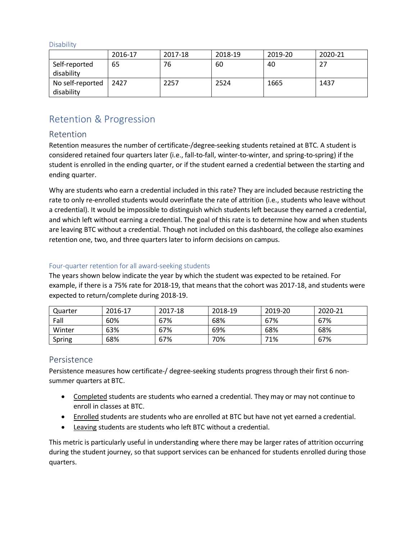<span id="page-10-0"></span>**Disability** 

|                  | 2016-17 | 2017-18 | 2018-19 | 2019-20 | 2020-21 |
|------------------|---------|---------|---------|---------|---------|
| Self-reported    | 65      | 76      | 60      | 40      | 27      |
| disability       |         |         |         |         |         |
| No self-reported | 2427    | 2257    | 2524    | 1665    | 1437    |
| disability       |         |         |         |         |         |

## <span id="page-10-1"></span>Retention & Progression

### <span id="page-10-2"></span>Retention

Retention measures the number of certificate-/degree-seeking students retained at BTC. A student is considered retained four quarters later (i.e., fall-to-fall, winter-to-winter, and spring-to-spring) if the student is enrolled in the ending quarter, or if the student earned a credential between the starting and ending quarter.

Why are students who earn a credential included in this rate? They are included because restricting the rate to only re-enrolled students would overinflate the rate of attrition (i.e., students who leave without a credential). It would be impossible to distinguish which students left because they earned a credential, and which left without earning a credential. The goal of this rate is to determine how and when students are leaving BTC without a credential. Though not included on this dashboard, the college also examines retention one, two, and three quarters later to inform decisions on campus.

### <span id="page-10-3"></span>Four-quarter retention for all award-seeking students

The years shown below indicate the year by which the student was expected to be retained. For example, if there is a 75% rate for 2018-19, that means that the cohort was 2017-18, and students were expected to return/complete during 2018-19.

| Quarter | 2016-17 | 2017-18 | 2018-19 | 2019-20 | 2020-21 |
|---------|---------|---------|---------|---------|---------|
| Fall    | 60%     | 67%     | 68%     | 67%     | 67%     |
| Winter  | 63%     | 67%     | 69%     | 68%     | 68%     |
| Spring  | 68%     | 67%     | 70%     | 71%     | 67%     |

### <span id="page-10-4"></span>Persistence

Persistence measures how certificate-/ degree-seeking students progress through their first 6 nonsummer quarters at BTC.

- Completed students are students who earned a credential. They may or may not continue to enroll in classes at BTC.
- Enrolled students are students who are enrolled at BTC but have not yet earned a credential.
- Leaving students are students who left BTC without a credential.

This metric is particularly useful in understanding where there may be larger rates of attrition occurring during the student journey, so that support services can be enhanced for students enrolled during those quarters.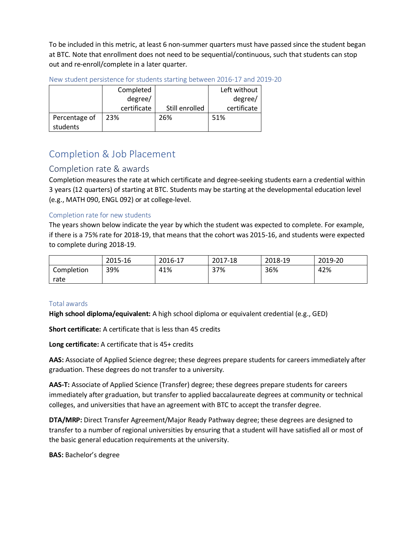To be included in this metric, at least 6 non-summer quarters must have passed since the student began at BTC. Note that enrollment does not need to be sequential/continuous, such that students can stop out and re-enroll/complete in a later quarter.

|               | Completed   |                | Left without |
|---------------|-------------|----------------|--------------|
|               | degree/     |                | degree/      |
|               | certificate | Still enrolled | certificate  |
| Percentage of | 23%         | 26%            | 51%          |
| students      |             |                |              |

<span id="page-11-0"></span>New student persistence for students starting between 2016-17 and 2019-20

## <span id="page-11-1"></span>Completion & Job Placement

### <span id="page-11-2"></span>Completion rate & awards

Completion measures the rate at which certificate and degree-seeking students earn a credential within 3 years (12 quarters) of starting at BTC. Students may be starting at the developmental education level (e.g., MATH 090, ENGL 092) or at college-level.

### <span id="page-11-3"></span>Completion rate for new students

The years shown below indicate the year by which the student was expected to complete. For example, if there is a 75% rate for 2018-19, that means that the cohort was 2015-16, and students were expected to complete during 2018-19.

|            | 2015-16 | 2016-17 | 2017-18 | 2018-19 | 2019-20 |
|------------|---------|---------|---------|---------|---------|
| Completion | 39%     | 41%     | 37%     | 36%     | 42%     |
| rate       |         |         |         |         |         |

### <span id="page-11-4"></span>Total awards

**High school diploma/equivalent:** A high school diploma or equivalent credential (e.g., GED)

**Short certificate:** A certificate that is less than 45 credits

**Long certificate:** A certificate that is 45+ credits

**AAS:** Associate of Applied Science degree; these degrees prepare students for careers immediately after graduation. These degrees do not transfer to a university.

**AAS-T:** Associate of Applied Science (Transfer) degree; these degrees prepare students for careers immediately after graduation, but transfer to applied baccalaureate degrees at community or technical colleges, and universities that have an agreement with BTC to accept the transfer degree.

**DTA/MRP:** Direct Transfer Agreement/Major Ready Pathway degree; these degrees are designed to transfer to a number of regional universities by ensuring that a student will have satisfied all or most of the basic general education requirements at the university.

**BAS:** Bachelor's degree